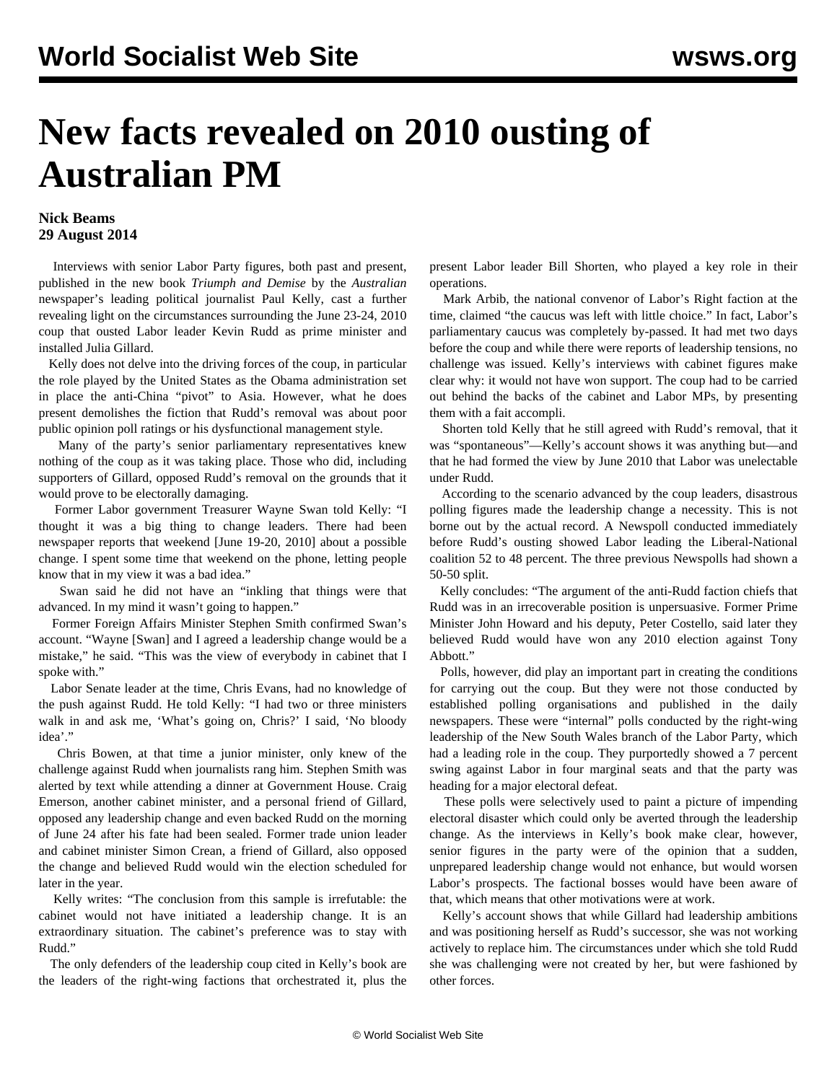## **New facts revealed on 2010 ousting of Australian PM**

## **Nick Beams 29 August 2014**

 Interviews with senior Labor Party figures, both past and present, published in the new book *Triumph and Demise* by the *Australian* newspaper's leading political journalist Paul Kelly, cast a further revealing light on the circumstances surrounding the June 23-24, 2010 coup that ousted Labor leader Kevin Rudd as prime minister and installed Julia Gillard.

 Kelly does not delve into the driving forces of the coup, in particular the role played by the United States as the Obama administration set in place the anti-China "pivot" to Asia. However, what he does present demolishes the fiction that Rudd's removal was about poor public opinion poll ratings or his dysfunctional management style.

 Many of the party's senior parliamentary representatives knew nothing of the coup as it was taking place. Those who did, including supporters of Gillard, opposed Rudd's removal on the grounds that it would prove to be electorally damaging.

 Former Labor government Treasurer Wayne Swan told Kelly: "I thought it was a big thing to change leaders. There had been newspaper reports that weekend [June 19-20, 2010] about a possible change. I spent some time that weekend on the phone, letting people know that in my view it was a bad idea."

 Swan said he did not have an "inkling that things were that advanced. In my mind it wasn't going to happen."

 Former Foreign Affairs Minister Stephen Smith confirmed Swan's account. "Wayne [Swan] and I agreed a leadership change would be a mistake," he said. "This was the view of everybody in cabinet that I spoke with."

 Labor Senate leader at the time, Chris Evans, had no knowledge of the push against Rudd. He told Kelly: "I had two or three ministers walk in and ask me, 'What's going on, Chris?' I said, 'No bloody idea'."

 Chris Bowen, at that time a junior minister, only knew of the challenge against Rudd when journalists rang him. Stephen Smith was alerted by text while attending a dinner at Government House. Craig Emerson, another cabinet minister, and a personal friend of Gillard, opposed any leadership change and even backed Rudd on the morning of June 24 after his fate had been sealed. Former trade union leader and cabinet minister Simon Crean, a friend of Gillard, also opposed the change and believed Rudd would win the election scheduled for later in the year.

 Kelly writes: "The conclusion from this sample is irrefutable: the cabinet would not have initiated a leadership change. It is an extraordinary situation. The cabinet's preference was to stay with Rudd."

 The only defenders of the leadership coup cited in Kelly's book are the leaders of the right-wing factions that orchestrated it, plus the present Labor leader Bill Shorten, who played a key role in their operations.

 Mark Arbib, the national convenor of Labor's Right faction at the time, claimed "the caucus was left with little choice." In fact, Labor's parliamentary caucus was completely by-passed. It had met two days before the coup and while there were reports of leadership tensions, no challenge was issued. Kelly's interviews with cabinet figures make clear why: it would not have won support. The coup had to be carried out behind the backs of the cabinet and Labor MPs, by presenting them with a fait accompli.

 Shorten told Kelly that he still agreed with Rudd's removal, that it was "spontaneous"—Kelly's account shows it was anything but—and that he had formed the view by June 2010 that Labor was unelectable under Rudd.

 According to the scenario advanced by the coup leaders, disastrous polling figures made the leadership change a necessity. This is not borne out by the actual record. A Newspoll conducted immediately before Rudd's ousting showed Labor leading the Liberal-National coalition 52 to 48 percent. The three previous Newspolls had shown a 50-50 split.

 Kelly concludes: "The argument of the anti-Rudd faction chiefs that Rudd was in an irrecoverable position is unpersuasive. Former Prime Minister John Howard and his deputy, Peter Costello, said later they believed Rudd would have won any 2010 election against Tony Abbott."

 Polls, however, did play an important part in creating the conditions for carrying out the coup. But they were not those conducted by established polling organisations and published in the daily newspapers. These were "internal" polls conducted by the right-wing leadership of the New South Wales branch of the Labor Party, which had a leading role in the coup. They purportedly showed a 7 percent swing against Labor in four marginal seats and that the party was heading for a major electoral defeat.

 These polls were selectively used to paint a picture of impending electoral disaster which could only be averted through the leadership change. As the interviews in Kelly's book make clear, however, senior figures in the party were of the opinion that a sudden, unprepared leadership change would not enhance, but would worsen Labor's prospects. The factional bosses would have been aware of that, which means that other motivations were at work.

 Kelly's account shows that while Gillard had leadership ambitions and was positioning herself as Rudd's successor, she was not working actively to replace him. The circumstances under which she told Rudd she was challenging were not created by her, but were fashioned by other forces.